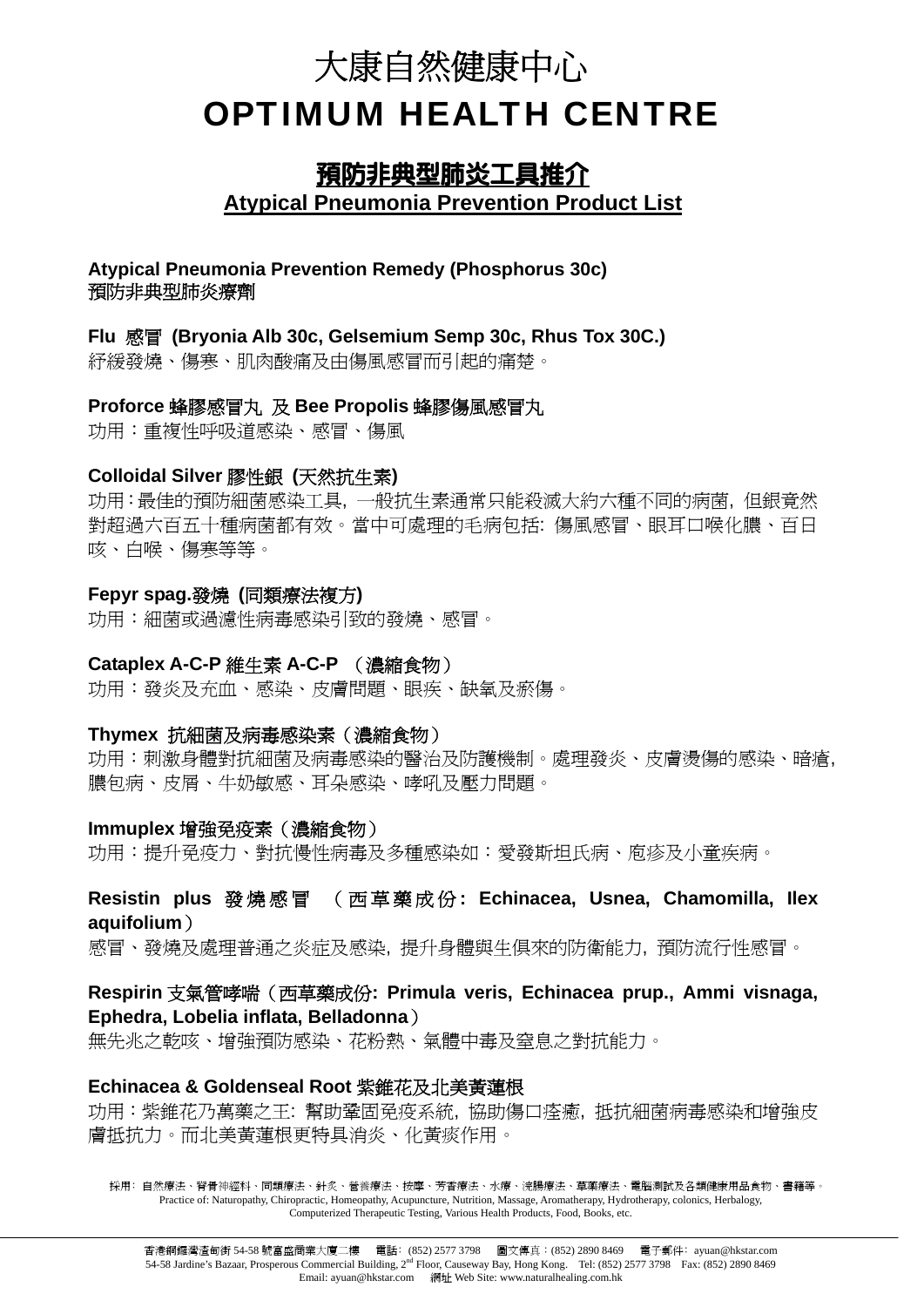# 大康自然健康中心 OPTIMUM HEALTH CENTRE

# 預防非典型肺炎工具推介 **Atypical Pneumonia Prevention Product List**

#### **Atypical Pneumonia Prevention Remedy (Phosphorus 30c)**  預防非典型肺炎療劑

#### **Flu** 感冒 **(Bryonia Alb 30c, Gelsemium Semp 30c, Rhus Tox 30C.)**

紓緩發燒、傷寒、肌肉酸痛及由傷風感冒而引起的痛楚。

# **Proforce** 蜂膠感冒丸 及 **Bee Propolis** 蜂膠傷風感冒丸

功用:重複性呼吸道感染、感冒、傷風

#### **Colloidal Silver** 膠性銀 **(**天然抗生素**)**

功用:最佳的預防細菌感染工具, 一般抗生素通常只能殺滅大約六種不同的病菌, 但銀竟然 對超過六百五十種病菌都有效。當中可處理的毛病包括: 傷風感冒、眼耳口喉化膿、百日 咳、白喉、傷寒等等。

#### **Fepyr spag.**發燒 **(**同類療法複方**)**

功用:細菌或過濾性病毒感染引致的發燒、感冒。

# **Cataplex A-C-P** 維生素 **A-C-P** (濃縮食物)

功用:發炎及充血、感染、皮膚問題、眼疾、缺氧及瘀傷。

#### **Thymex** 抗細菌及病毒感染素(濃縮食物)

功用:刺激身體對抗細菌及病毒感染的醫治及防護機制。處理發炎、皮膚燙傷的感染、暗瘡, 膿包病、皮屑、牛奶敏感、耳朵感染、哮吼及壓力問題。

### **Immuplex** 增強免疫素(濃縮食物)

功用:提升免疫力、對抗慢性病毒及多種感染如:愛發斯坦氏病、庖疹及小童疾病。

### **Resistin plus** 發燒感冒 (西草藥成份 **: Echinacea, Usnea, Chamomilla, Ilex aquifolium**)

感冒、發燒及處理普通之炎症及感染, 提升身體與生俱來的防衛能力, 預防流行性感冒。

# **Respirin** 支氣管哮喘(西草藥成份**: Primula veris, Echinacea prup., Ammi visnaga, Ephedra, Lobelia inflata, Belladonna**)

無先兆之乾咳、增強預防感染、花粉熱、氣體中毒及窒息之對抗能力。

#### **Echinacea & Goldenseal Root** 紫錐花及北美黃蓮根

功用:紫錐花乃萬藥之王: 幫助鞏固免疫系統, 協助傷口痊癒, 抵抗細菌病毒感染和增強皮 膚抵抗力。而北美黃蓮根更特具消炎、化黃痰作用。

採用:自然療法、脊骨神經科、同類療法、針炙、營養療法、按摩、芳香療法、水療、浣腸療法、重藥療法、電腦測試及各類健康用品食物、書籍等。 Practice of: Naturopathy, Chiropractic, Homeopathy, Acupuncture, Nutrition, Massage, Aromatherapy, Hydrotherapy, colonics, Herbalogy, Computerized Therapeutic Testing, Various Health Products, Food, Books, etc.